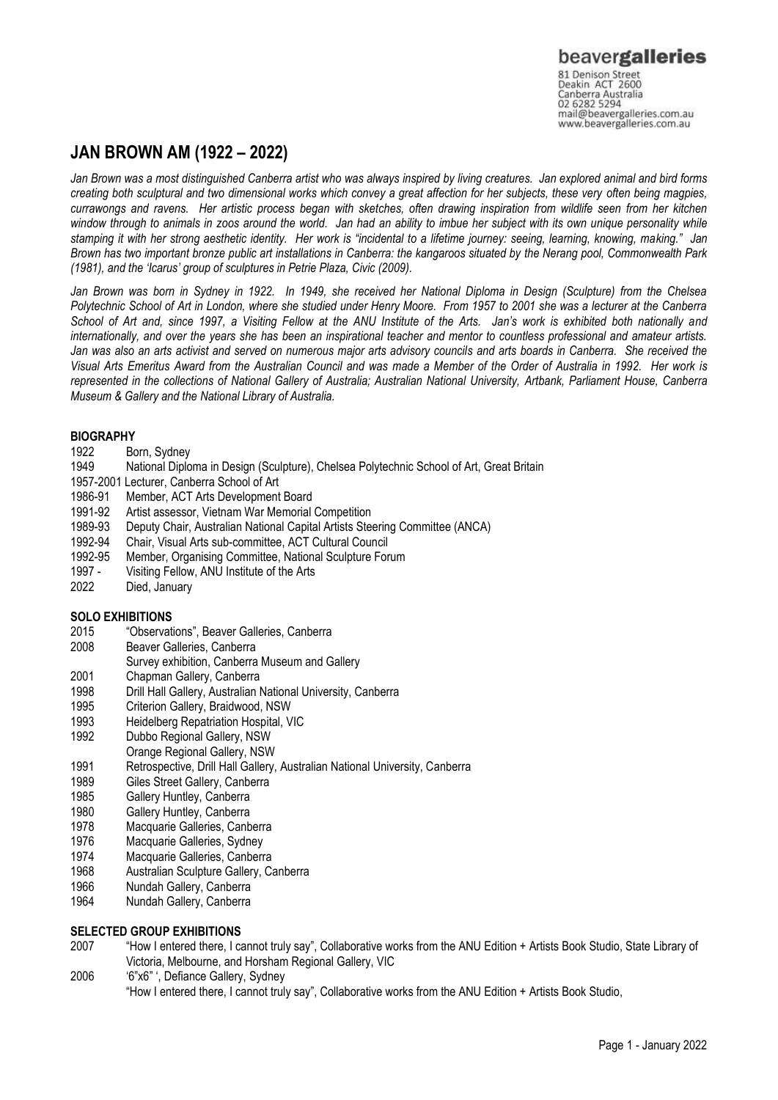# **JAN BROWN AM (1922 – 2022)**

*Jan Brown was a most distinguished Canberra artist who was always inspired by living creatures. Jan explored animal and bird forms creating both sculptural and two dimensional works which convey a great affection for her subjects, these very often being magpies, currawongs and ravens. Her artistic process began with sketches, often drawing inspiration from wildlife seen from her kitchen window through to animals in zoos around the world. Jan had an ability to imbue her subject with its own unique personality while stamping it with her strong aesthetic identity. Her work is "incidental to a lifetime journey: seeing, learning, knowing, making." Jan Brown has two important bronze public art installations in Canberra: the kangaroos situated by the Nerang pool, Commonwealth Park (1981), and the 'Icarus' group of sculptures in Petrie Plaza, Civic (2009).* 

Jan Brown was born in Sydney in 1922. In 1949, she received her National Diploma in Design (Sculpture) from the Chelsea *Polytechnic School of Art in London, where she studied under Henry Moore. From 1957 to 2001 she was a lecturer at the Canberra School of Art and, since 1997, a Visiting Fellow at the ANU Institute of the Arts. Jan's work is exhibited both nationally and internationally, and over the years she has been an inspirational teacher and mentor to countless professional and amateur artists. Jan was also an arts activist and served on numerous major arts advisory councils and arts boards in Canberra. She received the Visual Arts Emeritus Award from the Australian Council and was made a Member of the Order of Australia in 1992. Her work is represented in the collections of National Gallery of Australia; Australian National University, Artbank, Parliament House, Canberra Museum & Gallery and the National Library of Australia.*

### **BIOGRAPHY**

- 1922 Born, Sydney<br>1949 National Diplo
- National Diploma in Design (Sculpture), Chelsea Polytechnic School of Art, Great Britain
- 1957-2001 Lecturer, Canberra School of Art
- 1986-91 Member, ACT Arts Development Board<br>1991-92 Artist assessor, Vietnam War Memorial
- 1991-92 Artist assessor, Vietnam War Memorial Competition
- 1989-93 Deputy Chair, Australian National Capital Artists Steering Committee (ANCA)
- 1992-94 Chair, Visual Arts sub-committee, ACT Cultural Council
- 1992-95 Member, Organising Committee, National Sculpture Forum
- 1997 Visiting Fellow, ANU Institute of the Arts
- 2022 Died, January

## **SOLO EXHIBITIONS**

- 2015 "Observations", Beaver Galleries, Canberra
- 2008 Beaver Galleries, Canberra
- Survey exhibition, Canberra Museum and Gallery
- 2001 Chapman Gallery, Canberra
- 1998 Drill Hall Gallery, Australian National University, Canberra
- 1995 Criterion Gallery, Braidwood, NSW
- 1993 Heidelberg Repatriation Hospital, VIC
- 1992 Dubbo Regional Gallery, NSW
- Orange Regional Gallery, NSW
- 1991 Retrospective, Drill Hall Gallery, Australian National University, Canberra
- 1989 Giles Street Gallery, Canberra
- 1985 Gallery Huntley, Canberra
- 1980 Gallery Huntley, Canberra
- 1978 Macquarie Galleries, Canberra
- 1976 Macquarie Galleries, Sydney
- 1974 Macquarie Galleries, Canberra
- 1968 Australian Sculpture Gallery, Canberra
- 1966 Nundah Gallery, Canberra
- 1964 Nundah Gallery, Canberra

## **SELECTED GROUP EXHIBITIONS**

- 2007 "How I entered there, I cannot truly say", Collaborative works from the ANU Edition + Artists Book Studio, State Library of Victoria, Melbourne, and Horsham Regional Gallery, VIC
- 2006 '6"x6" ', Defiance Gallery, Sydney "How I entered there, I cannot truly say", Collaborative works from the ANU Edition + Artists Book Studio,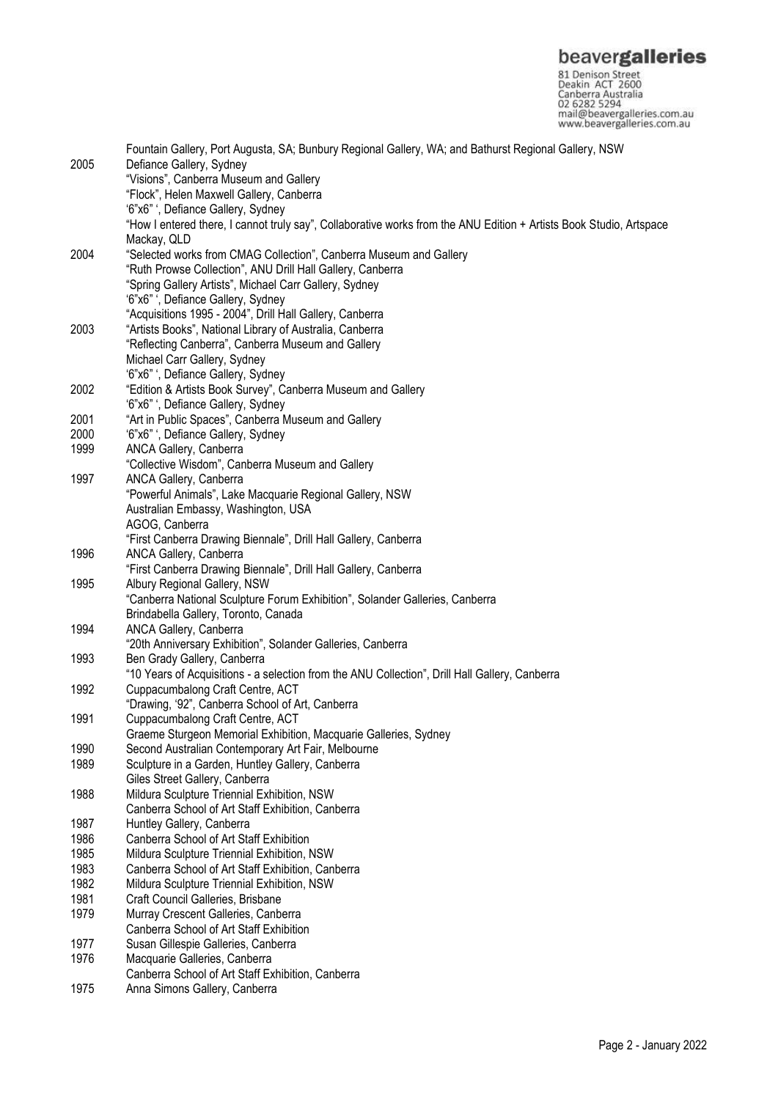**beavergalleries**<br> **S1 Denison Street**<br>
Deakin ACT 2600<br>
Canberra Australia<br>
02 6282 5294<br>
mail@beavergalleries.com.au<br>
www.beavergalleries.com.au

|      | Fountain Gallery, Port Augusta, SA; Bunbury Regional Gallery, WA; and Bathurst Regional Gallery, NSW                 |
|------|----------------------------------------------------------------------------------------------------------------------|
| 2005 | Defiance Gallery, Sydney                                                                                             |
|      | "Visions", Canberra Museum and Gallery                                                                               |
|      | "Flock", Helen Maxwell Gallery, Canberra                                                                             |
|      | '6"x6" ', Defiance Gallery, Sydney                                                                                   |
|      | "How I entered there, I cannot truly say", Collaborative works from the ANU Edition + Artists Book Studio, Artspace  |
|      | Mackay, QLD                                                                                                          |
| 2004 | "Selected works from CMAG Collection", Canberra Museum and Gallery                                                   |
|      | "Ruth Prowse Collection", ANU Drill Hall Gallery, Canberra                                                           |
|      | "Spring Gallery Artists", Michael Carr Gallery, Sydney                                                               |
|      | '6"x6" ', Defiance Gallery, Sydney                                                                                   |
|      | "Acquisitions 1995 - 2004", Drill Hall Gallery, Canberra                                                             |
| 2003 | "Artists Books", National Library of Australia, Canberra                                                             |
|      | "Reflecting Canberra", Canberra Museum and Gallery                                                                   |
|      | Michael Carr Gallery, Sydney                                                                                         |
|      | '6"x6" ', Defiance Gallery, Sydney                                                                                   |
| 2002 | "Edition & Artists Book Survey", Canberra Museum and Gallery                                                         |
|      | '6"x6" ', Defiance Gallery, Sydney                                                                                   |
| 2001 | "Art in Public Spaces", Canberra Museum and Gallery                                                                  |
| 2000 | '6"x6" ', Defiance Gallery, Sydney                                                                                   |
| 1999 | ANCA Gallery, Canberra                                                                                               |
|      | "Collective Wisdom", Canberra Museum and Gallery                                                                     |
| 1997 | ANCA Gallery, Canberra                                                                                               |
|      | "Powerful Animals", Lake Macquarie Regional Gallery, NSW                                                             |
|      | Australian Embassy, Washington, USA                                                                                  |
|      | AGOG, Canberra                                                                                                       |
|      | "First Canberra Drawing Biennale", Drill Hall Gallery, Canberra                                                      |
| 1996 | ANCA Gallery, Canberra                                                                                               |
|      | "First Canberra Drawing Biennale", Drill Hall Gallery, Canberra                                                      |
| 1995 | Albury Regional Gallery, NSW                                                                                         |
|      | "Canberra National Sculpture Forum Exhibition", Solander Galleries, Canberra<br>Brindabella Gallery, Toronto, Canada |
| 1994 | ANCA Gallery, Canberra                                                                                               |
|      | "20th Anniversary Exhibition", Solander Galleries, Canberra                                                          |
| 1993 | Ben Grady Gallery, Canberra                                                                                          |
|      | "10 Years of Acquisitions - a selection from the ANU Collection", Drill Hall Gallery, Canberra                       |
| 1992 | Cuppacumbalong Craft Centre, ACT                                                                                     |
|      | "Drawing, '92", Canberra School of Art, Canberra                                                                     |
| 1991 | Cuppacumbalong Craft Centre, ACT                                                                                     |
|      | Graeme Sturgeon Memorial Exhibition, Macquarie Galleries, Sydney                                                     |
| 1990 | Second Australian Contemporary Art Fair, Melbourne                                                                   |
| 1989 | Sculpture in a Garden, Huntley Gallery, Canberra                                                                     |
|      | Giles Street Gallery, Canberra                                                                                       |
| 1988 | Mildura Sculpture Triennial Exhibition, NSW                                                                          |
|      | Canberra School of Art Staff Exhibition, Canberra                                                                    |
| 1987 | Huntley Gallery, Canberra                                                                                            |
| 1986 | Canberra School of Art Staff Exhibition                                                                              |
| 1985 | Mildura Sculpture Triennial Exhibition, NSW                                                                          |
| 1983 | Canberra School of Art Staff Exhibition, Canberra                                                                    |
| 1982 | Mildura Sculpture Triennial Exhibition, NSW                                                                          |
| 1981 | Craft Council Galleries, Brisbane                                                                                    |
| 1979 | Murray Crescent Galleries, Canberra                                                                                  |
|      | Canberra School of Art Staff Exhibition                                                                              |
| 1977 | Susan Gillespie Galleries, Canberra                                                                                  |
| 1976 | Macquarie Galleries, Canberra                                                                                        |
|      | Canberra School of Art Staff Exhibition, Canberra                                                                    |
| 1975 | Anna Simons Gallery, Canberra                                                                                        |